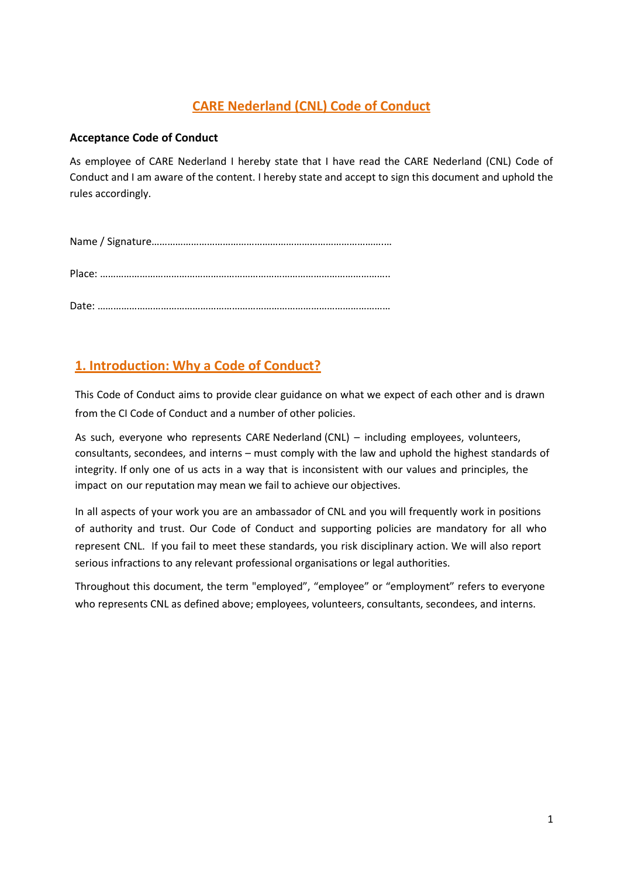# **CARE Nederland (CNL) Code of Conduct**

### **Acceptance Code of Conduct**

As employee of CARE Nederland I hereby state that I have read the CARE Nederland (CNL) Code of Conduct and I am aware of the content. I hereby state and accept to sign this document and uphold the rules accordingly.

# **1. Introduction: Why a Code of Conduct?**

This Code of Conduct aims to provide clear guidance on what we expect of each other and is drawn from the CI Code of Conduct and a number of other policies.

As such, everyone who represents CARE Nederland (CNL) – including employees, volunteers, consultants, secondees, and interns – must comply with the law and uphold the highest standards of integrity. If only one of us acts in a way that is inconsistent with our values and principles, the impact on our reputation may mean we fail to achieve our objectives.

In all aspects of your work you are an ambassador of CNL and you will frequently work in positions of authority and trust. Our Code of Conduct and supporting policies are mandatory for all who represent CNL. If you fail to meet these standards, you risk disciplinary action. We will also report serious infractions to any relevant professional organisations or legal authorities.

Throughout this document, the term "employed", "employee" or "employment" refers to everyone who represents CNL as defined above; employees, volunteers, consultants, secondees, and interns.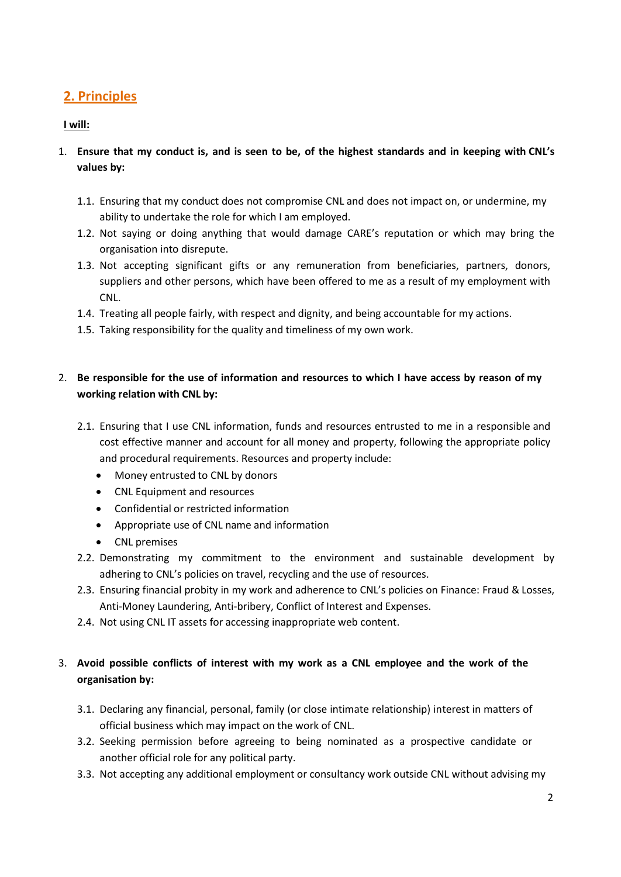## **2. Principles**

#### **I will:**

- 1. Ensure that my conduct is, and is seen to be, of the highest standards and in keeping with CNL's **values by:**
	- 1.1. Ensuring that my conduct does not compromise CNL and does not impact on, or undermine, my ability to undertake the role for which I am employed.
	- 1.2. Not saying or doing anything that would damage CARE's reputation or which may bring the organisation into disrepute.
	- 1.3. Not accepting significant gifts or any remuneration from beneficiaries, partners, donors, suppliers and other persons, which have been offered to me as a result of my employment with CNL.
	- 1.4. Treating all people fairly, with respect and dignity, and being accountable for my actions.
	- 1.5. Taking responsibility for the quality and timeliness of my own work.

## 2. **Be responsible for the use of information and resources to which I have access by reason of my working relation with CNL by:**

- 2.1. Ensuring that I use CNL information, funds and resources entrusted to me in a responsible and cost effective manner and account for all money and property, following the appropriate policy and procedural requirements. Resources and property include:
	- Money entrusted to CNL by donors
	- CNL Equipment and resources
	- Confidential or restricted information
	- Appropriate use of CNL name and information
	- CNL premises
- 2.2. Demonstrating my commitment to the environment and sustainable development by adhering to CNL's policies on travel, recycling and the use of resources.
- 2.3. Ensuring financial probity in my work and adherence to CNL's policies on Finance: Fraud & Losses, Anti-Money Laundering, Anti-bribery, Conflict of Interest and Expenses.
- 2.4. Not using CNL IT assets for accessing inappropriate web content.

## 3. **Avoid possible conflicts of interest with my work as a CNL employee and the work of the organisation by:**

- 3.1. Declaring any financial, personal, family (or close intimate relationship) interest in matters of official business which may impact on the work of CNL.
- 3.2. Seeking permission before agreeing to being nominated as a prospective candidate or another official role for any political party.
- 3.3. Not accepting any additional employment or consultancy work outside CNL without advising my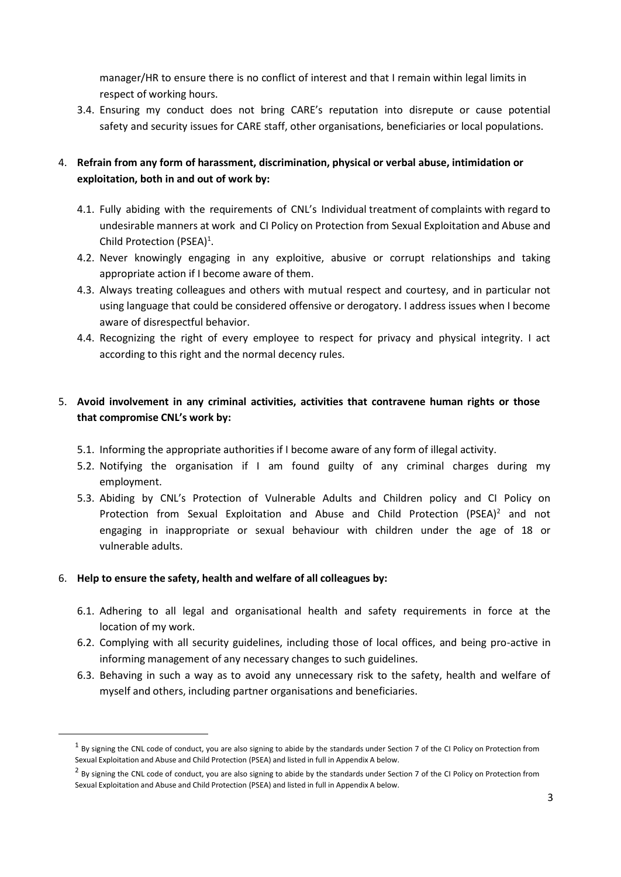manager/HR to ensure there is no conflict of interest and that I remain within legal limits in respect of working hours.

3.4. Ensuring my conduct does not bring CARE's reputation into disrepute or cause potential safety and security issues for CARE staff, other organisations, beneficiaries or local populations.

### 4. **Refrain from any form of harassment, discrimination, physical or verbal abuse, intimidation or exploitation, both in and out of work by:**

- 4.1. Fully abiding with the requirements of CNL's Individual treatment of complaints with regard to undesirable manners at work and CI Policy on Protection from Sexual Exploitation and Abuse and Child Protection (PSEA) 1 .
- 4.2. Never knowingly engaging in any exploitive, abusive or corrupt relationships and taking appropriate action if I become aware of them.
- 4.3. Always treating colleagues and others with mutual respect and courtesy, and in particular not using language that could be considered offensive or derogatory. I address issues when I become aware of disrespectful behavior.
- 4.4. Recognizing the right of every employee to respect for privacy and physical integrity. I act according to this right and the normal decency rules.

## 5. **Avoid involvement in any criminal activities, activities that contravene human rights or those that compromise CNL's work by:**

- 5.1. Informing the appropriate authorities if I become aware of any form of illegal activity.
- 5.2. Notifying the organisation if I am found guilty of any criminal charges during my employment.
- 5.3. Abiding by CNL's Protection of Vulnerable Adults and Children policy and CI Policy on Protection from Sexual Exploitation and Abuse and Child Protection (PSEA)<sup>2</sup> and not engaging in inappropriate or sexual behaviour with children under the age of 18 or vulnerable adults.

#### 6. **Help to ensure the safety, health and welfare of all colleagues by:**

 $\overline{\phantom{a}}$ 

- 6.1. Adhering to all legal and organisational health and safety requirements in force at the location of my work.
- 6.2. Complying with all security guidelines, including those of local offices, and being pro-active in informing management of any necessary changes to such guidelines.
- 6.3. Behaving in such a way as to avoid any unnecessary risk to the safety, health and welfare of myself and others, including partner organisations and beneficiaries.

 $^1$  By signing the CNL code of conduct, you are also signing to abide by the standards under Section 7 of the CI Policy on Protection from Sexual Exploitation and Abuse and Child Protection (PSEA) and listed in full in Appendix A below.

 $^2$  By signing the CNL code of conduct, you are also signing to abide by the standards under Section 7 of the CI Policy on Protection from Sexual Exploitation and Abuse and Child Protection (PSEA) and listed in full in Appendix A below.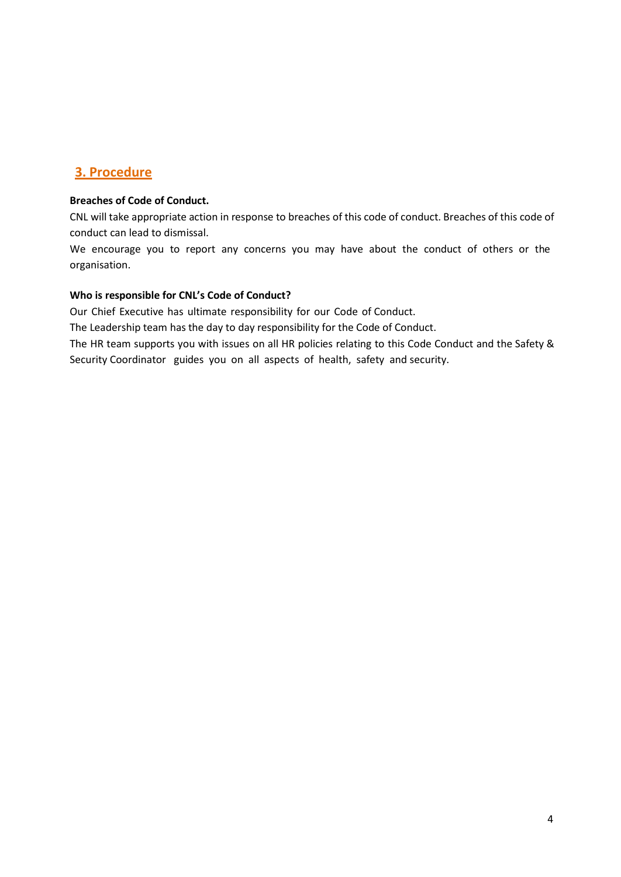## **3. Procedure**

#### **Breaches of Code of Conduct.**

CNL will take appropriate action in response to breaches of this code of conduct. Breaches of this code of conduct can lead to dismissal.

We encourage you to report any concerns you may have about the conduct of others or the organisation.

#### **Who is responsible for CNL's Code of Conduct?**

Our Chief Executive has ultimate responsibility for our Code of Conduct.

The Leadership team has the day to day responsibility for the Code of Conduct.

The HR team supports you with issues on all HR policies relating to this Code Conduct and the Safety & Security Coordinator guides you on all aspects of health, safety and security.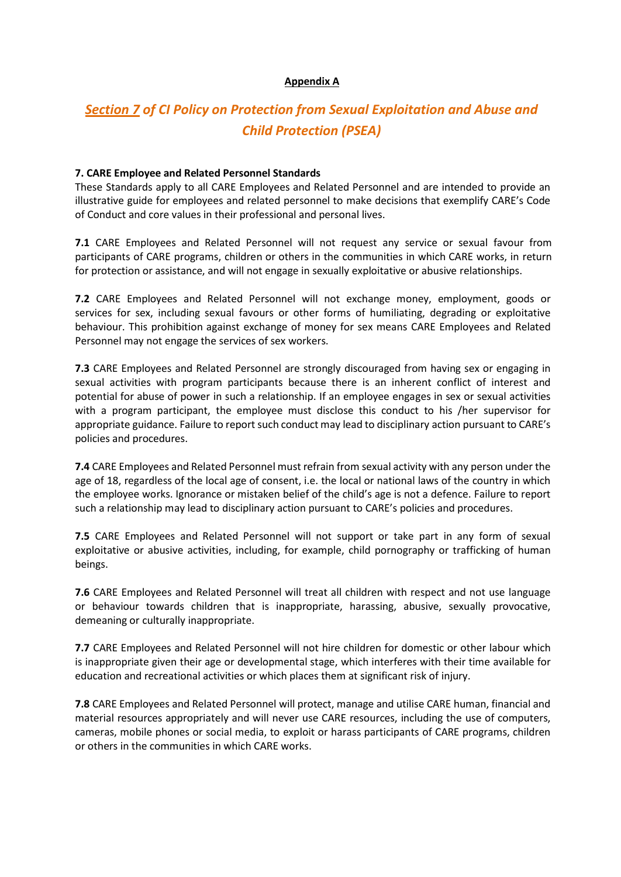#### **Appendix A**

# *Section 7 of CI Policy on Protection from Sexual Exploitation and Abuse and Child Protection (PSEA)*

#### **7. CARE Employee and Related Personnel Standards**

These Standards apply to all CARE Employees and Related Personnel and are intended to provide an illustrative guide for employees and related personnel to make decisions that exemplify CARE's Code of Conduct and core values in their professional and personal lives.

**7.1** CARE Employees and Related Personnel will not request any service or sexual favour from participants of CARE programs, children or others in the communities in which CARE works, in return for protection or assistance, and will not engage in sexually exploitative or abusive relationships.

**7.2** CARE Employees and Related Personnel will not exchange money, employment, goods or services for sex, including sexual favours or other forms of humiliating, degrading or exploitative behaviour. This prohibition against exchange of money for sex means CARE Employees and Related Personnel may not engage the services of sex workers.

**7.3** CARE Employees and Related Personnel are strongly discouraged from having sex or engaging in sexual activities with program participants because there is an inherent conflict of interest and potential for abuse of power in such a relationship. If an employee engages in sex or sexual activities with a program participant, the employee must disclose this conduct to his /her supervisor for appropriate guidance. Failure to report such conduct may lead to disciplinary action pursuant to CARE's policies and procedures.

**7.4** CARE Employees and Related Personnel must refrain from sexual activity with any person under the age of 18, regardless of the local age of consent, i.e. the local or national laws of the country in which the employee works. Ignorance or mistaken belief of the child's age is not a defence. Failure to report such a relationship may lead to disciplinary action pursuant to CARE's policies and procedures.

**7.5** CARE Employees and Related Personnel will not support or take part in any form of sexual exploitative or abusive activities, including, for example, child pornography or trafficking of human beings.

**7.6** CARE Employees and Related Personnel will treat all children with respect and not use language or behaviour towards children that is inappropriate, harassing, abusive, sexually provocative, demeaning or culturally inappropriate.

**7.7** CARE Employees and Related Personnel will not hire children for domestic or other labour which is inappropriate given their age or developmental stage, which interferes with their time available for education and recreational activities or which places them at significant risk of injury.

**7.8** CARE Employees and Related Personnel will protect, manage and utilise CARE human, financial and material resources appropriately and will never use CARE resources, including the use of computers, cameras, mobile phones or social media, to exploit or harass participants of CARE programs, children or others in the communities in which CARE works.